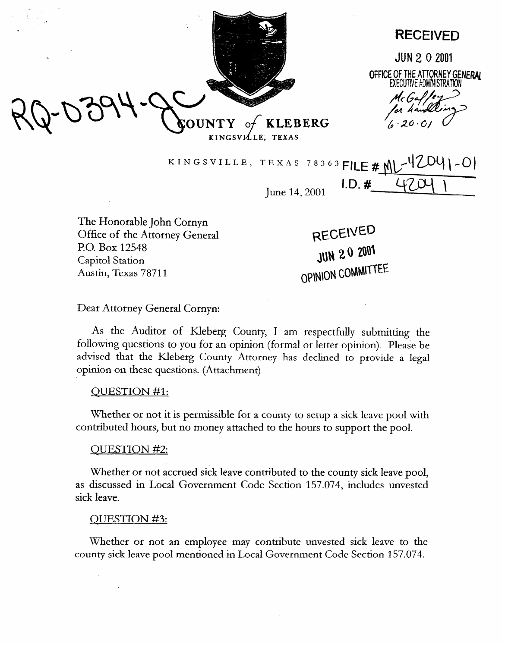

**RECEIVED** 

**JUN 2 0 2001** OFFICE OF THE ATTORNEY GENERAL **FXFCUTIVE \*DMINISTRATION** 

McGal/e or handl  $6.20.$ 

KINGSVILLE, TEXAS 78363 FILE # MU

June 14, 2001 **I.D.**  $#$ 

The Honorable John Cornyn Office of the Attorney General P.O. Box 12548 Capitol Station Austin, Texas 78711

RECEIVED JUN 20 2001 OPINION COMMITTEE

## Dear Attorney General Cornyn:

As the Auditor of Kleberg County, I am respectfully submitting the following questions to you for an opinion (formal or letter opinion). Please be advised that the Meberg County Attorney has declined to provide a legal opinion on these questions. (Attachment)

## QUESTION #l:

Whether or not it is permissible for a county to setup a sick leave pool with contributed hours, but no money attached to the hours to support the pool.

## QUESTION #2:

Whether or not accrued sick leave contributed to the county sick leave pool, as discussed in Local Government Code Section 157.074, includes unvested sick leave.

## QUESTION #3:

Whether or not an employee may contribute unvested sick leave to the county sick leave pool mentioned in Local Government Code Section 157.074.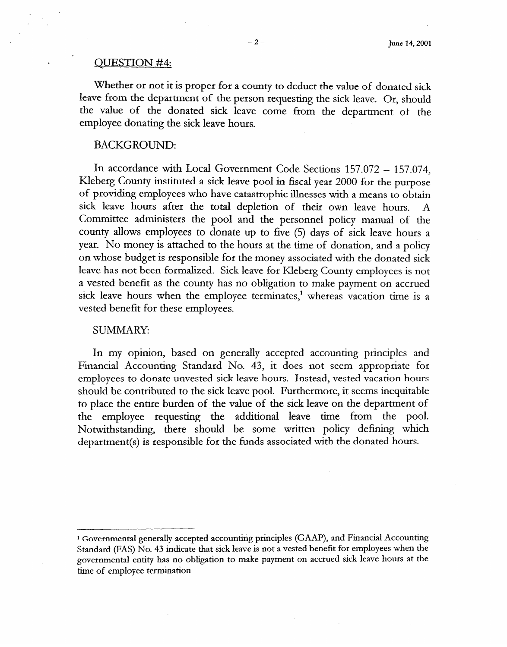#### QUESTION #4:

Whether or not it is proper for a county to deduct the value of donated sick leave from the department of the person requesting the sick leave. Or, should the value of the donated sick leave come from the department of the employee donating the sick leave hours.

# BACKGROUND:

In accordance with Local Government Code Sections 157.072 - 157.074, Kleberg County instituted a sick leave pool in fiscal year 2000 for the **purpose**  of providing employees who have catastrophic illnesses with a means to obtain sick leave hours after the total depletion of their own leave hours. A Committee administers the pool and the personnel policy manual of the county allows employees to donate up to five (5) days of sick leave hours a year. No money is attached to the hours at the time of donation, and a policy on whose budget is responsible for the money associated with the donated sick leave has not been formalized. Sick leave for Kleberg County employees is not a vested benefit as the county has no obligation to make payment on accrued sick leave hours when the employee terminates,<sup>1</sup> whereas vacation time is a vested benefit for these employees.

#### SUMMARY

In my opinion, based on generally accepted accounting principles and Financial Accounting Standard No. 43, it does not seem appropriate for employees to donate unvested sick leave hours. Instead, vested vacation hours should be contributed to the sick leave pool. Furthermore, it seems inequitable to place the entire burden of the value of the sick leave on the department of the employee requesting the additional leave time from the pool. Notwithstanding, there should be some written policy defining which department(s) is responsible for the funds associated with the donated hours.

<sup>&</sup>lt;sup>1</sup> Governmental generally accepted accounting principles (GAAP), and Financial Accounting **Standard (FAS) No. 43 indicate that sick leave is not a vested benefit for employees when the governmental entity has no obligation to make payment on accrued sick leave hours at the time of employee termination**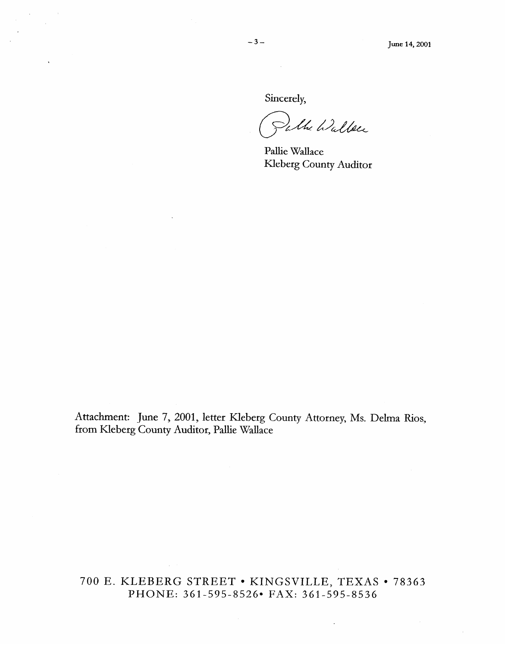# Sincerely,

 $\sim 10$ 

whe Walker

Pallie Wallace Kleberg County Auditor

Attachment: June 7, 2001, letter KIeberg County Attorney, Ms. **Deha Rios,**  from Kleberg County Auditor, Pallie Wallace

# 700 E. KLEBERG STREET • KINGSVILLE, TEXAS • 78363 PHONE: 361-595-8526\* FAX: 361-595-8536

 $\sim$